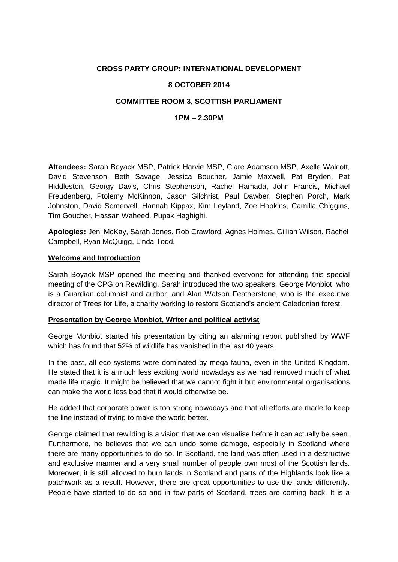# **CROSS PARTY GROUP: INTERNATIONAL DEVELOPMENT**

## **8 OCTOBER 2014**

# **COMMITTEE ROOM 3, SCOTTISH PARLIAMENT**

### **1PM – 2.30PM**

**Attendees:** Sarah Boyack MSP, Patrick Harvie MSP, Clare Adamson MSP, Axelle Walcott, David Stevenson, Beth Savage, Jessica Boucher, Jamie Maxwell, Pat Bryden, Pat Hiddleston, Georgy Davis, Chris Stephenson, Rachel Hamada, John Francis, Michael Freudenberg, Ptolemy McKinnon, Jason Gilchrist, Paul Dawber, Stephen Porch, Mark Johnston, David Somervell, Hannah Kippax, Kim Leyland, Zoe Hopkins, Camilla Chiggins, Tim Goucher, Hassan Waheed, Pupak Haghighi.

**Apologies:** Jeni McKay, Sarah Jones, Rob Crawford, Agnes Holmes, Gillian Wilson, Rachel Campbell, Ryan McQuigg, Linda Todd.

#### **Welcome and Introduction**

Sarah Boyack MSP opened the meeting and thanked everyone for attending this special meeting of the CPG on Rewilding. Sarah introduced the two speakers, George Monbiot, who is a Guardian columnist and author, and Alan Watson Featherstone, who is the executive director of Trees for Life, a charity working to restore Scotland's ancient Caledonian forest.

#### **Presentation by George Monbiot, Writer and political activist**

George Monbiot started his presentation by citing an alarming report published by WWF which has found that 52% of wildlife has vanished in the last 40 years.

In the past, all eco-systems were dominated by mega fauna, even in the United Kingdom. He stated that it is a much less exciting world nowadays as we had removed much of what made life magic. It might be believed that we cannot fight it but environmental organisations can make the world less bad that it would otherwise be.

He added that corporate power is too strong nowadays and that all efforts are made to keep the line instead of trying to make the world better.

George claimed that rewilding is a vision that we can visualise before it can actually be seen. Furthermore, he believes that we can undo some damage, especially in Scotland where there are many opportunities to do so. In Scotland, the land was often used in a destructive and exclusive manner and a very small number of people own most of the Scottish lands. Moreover, it is still allowed to burn lands in Scotland and parts of the Highlands look like a patchwork as a result. However, there are great opportunities to use the lands differently. People have started to do so and in few parts of Scotland, trees are coming back. It is a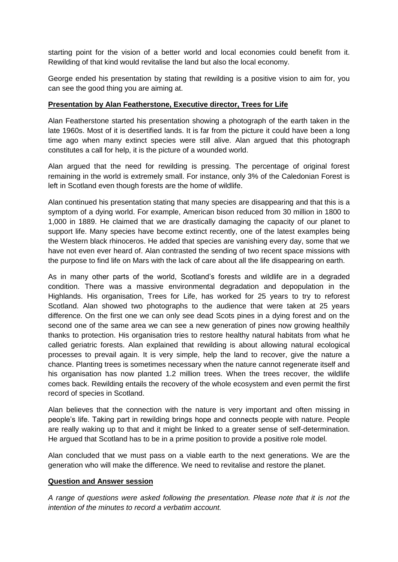starting point for the vision of a better world and local economies could benefit from it. Rewilding of that kind would revitalise the land but also the local economy.

George ended his presentation by stating that rewilding is a positive vision to aim for, you can see the good thing you are aiming at.

## **Presentation by Alan Featherstone, Executive director, Trees for Life**

Alan Featherstone started his presentation showing a photograph of the earth taken in the late 1960s. Most of it is desertified lands. It is far from the picture it could have been a long time ago when many extinct species were still alive. Alan argued that this photograph constitutes a call for help, it is the picture of a wounded world.

Alan argued that the need for rewilding is pressing. The percentage of original forest remaining in the world is extremely small. For instance, only 3% of the Caledonian Forest is left in Scotland even though forests are the home of wildlife.

Alan continued his presentation stating that many species are disappearing and that this is a symptom of a dying world. For example, American bison reduced from 30 million in 1800 to 1,000 in 1889. He claimed that we are drastically damaging the capacity of our planet to support life. Many species have become extinct recently, one of the latest examples being the Western black rhinoceros. He added that species are vanishing every day, some that we have not even ever heard of. Alan contrasted the sending of two recent space missions with the purpose to find life on Mars with the lack of care about all the life disappearing on earth.

As in many other parts of the world, Scotland's forests and wildlife are in a degraded condition. There was a massive environmental degradation and depopulation in the Highlands. His organisation, Trees for Life, has worked for 25 years to try to reforest Scotland. Alan showed two photographs to the audience that were taken at 25 years difference. On the first one we can only see dead Scots pines in a dying forest and on the second one of the same area we can see a new generation of pines now growing healthily thanks to protection. His organisation tries to restore healthy natural habitats from what he called geriatric forests. Alan explained that rewilding is about allowing natural ecological processes to prevail again. It is very simple, help the land to recover, give the nature a chance. Planting trees is sometimes necessary when the nature cannot regenerate itself and his organisation has now planted 1.2 million trees. When the trees recover, the wildlife comes back. Rewilding entails the recovery of the whole ecosystem and even permit the first record of species in Scotland.

Alan believes that the connection with the nature is very important and often missing in people's life. Taking part in rewilding brings hope and connects people with nature. People are really waking up to that and it might be linked to a greater sense of self-determination. He argued that Scotland has to be in a prime position to provide a positive role model.

Alan concluded that we must pass on a viable earth to the next generations. We are the generation who will make the difference. We need to revitalise and restore the planet.

#### **Question and Answer session**

*A range of questions were asked following the presentation. Please note that it is not the intention of the minutes to record a verbatim account.*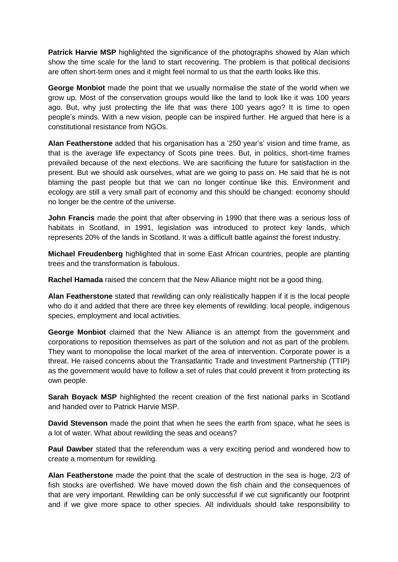**Patrick Harvie MSP** highlighted the significance of the photographs showed by Alan which show the time scale for the land to start recovering. The problem is that political decisions are often short-term ones and it might feel normal to us that the earth looks like this.

**George Monbiot** made the point that we usually normalise the state of the world when we grow up. Most of the conservation groups would like the land to look like it was 100 years ago. But, why just protecting the life that was there 100 years ago? It is time to open people's minds. With a new vision, people can be inspired further. He argued that here is a constitutional resistance from NGOs.

**Alan Featherstone** added that his organisation has a '250 year's' vision and time frame, as that is the average life expectancy of Scots pine trees. But, in politics, short-time frames prevailed because of the next elections. We are sacrificing the future for satisfaction in the present. But we should ask ourselves, what are we going to pass on. He said that he is not blaming the past people but that we can no longer continue like this. Environment and ecology are still a very small part of economy and this should be changed: economy should no longer be the centre of the universe.

**John Francis** made the point that after observing in 1990 that there was a serious loss of habitats in Scotland, in 1991, legislation was introduced to protect key lands, which represents 20% of the lands in Scotland. It was a difficult battle against the forest industry.

**Michael Freudenberg** highlighted that in some East African countries, people are planting trees and the transformation is fabulous.

**Rachel Hamada** raised the concern that the New Alliance might not be a good thing.

**Alan Featherstone** stated that rewilding can only realistically happen if it is the local people who do it and added that there are three key elements of rewilding: local people, indigenous species, employment and local activities.

**George Monbiot** claimed that the New Alliance is an attempt from the government and corporations to reposition themselves as part of the solution and not as part of the problem. They want to monopolise the local market of the area of intervention. Corporate power is a threat. He raised concerns about the Transatlantic Trade and Investment Partnership (TTIP) as the government would have to follow a set of rules that could prevent it from protecting its own people.

**Sarah Boyack MSP** highlighted the recent creation of the first national parks in Scotland and handed over to Patrick Harvie MSP.

**David Stevenson** made the point that when he sees the earth from space, what he sees is a lot of water. What about rewilding the seas and oceans?

**Paul Dawber** stated that the referendum was a very exciting period and wondered how to create a momentum for rewilding.

**Alan Featherstone** made the point that the scale of destruction in the sea is huge, 2/3 of fish stocks are overfished. We have moved down the fish chain and the consequences of that are very important. Rewilding can be only successful if we cut significantly our footprint and if we give more space to other species. All individuals should take responsibility to